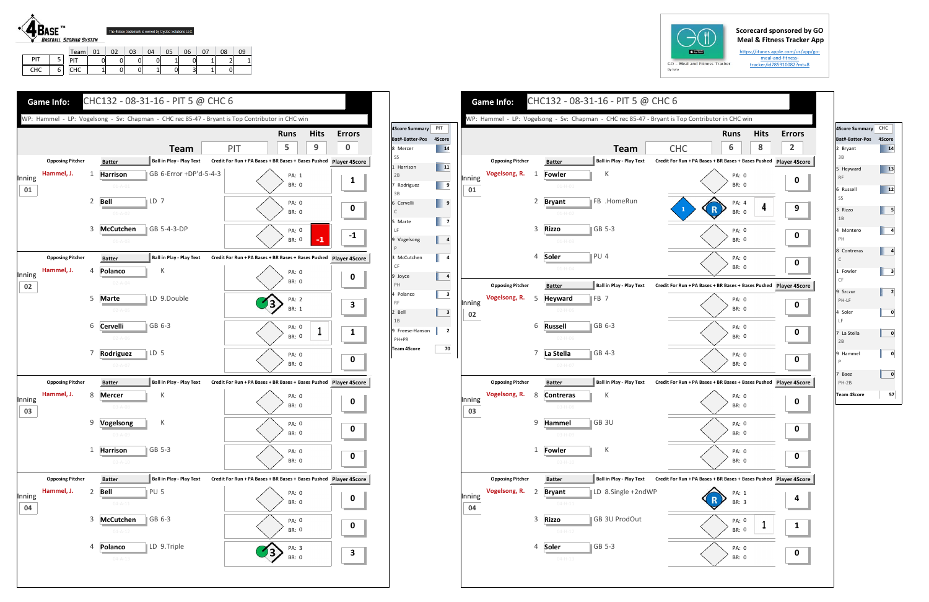## **Scorecard sponsored by GO Meal & Fitness Tracker App**

https://itunes.apple.com/us/app/go‐ meal‐and‐fitness‐ tracker/id785910082?mt=8



|     |        | Team                     | 01 | $\sim$ | 03 | 04 |   | 06 | $\sim$ | 08 | 09 |
|-----|--------|--------------------------|----|--------|----|----|---|----|--------|----|----|
| PIT | -<br>ر | D                        |    | 0      |    |    |   |    |        |    |    |
| CHC | 6      | 10 <sup>o</sup><br>u i u |    | 01     |    |    | U | پ  | -      | 0  |    |



|                   |        |                                          |   |                                 |                                                       |                                                               | <b>Runs</b>           | <b>Hits</b> | Erro           |
|-------------------|--------|------------------------------------------|---|---------------------------------|-------------------------------------------------------|---------------------------------------------------------------|-----------------------|-------------|----------------|
| 4Score<br>14      |        |                                          |   |                                 | <b>Team</b>                                           | <b>CHC</b>                                                    | 6                     | 8           | $\overline{2}$ |
| $\blacksquare$ 11 |        | <b>Opposing Pitcher</b>                  |   | <b>Batter</b>                   | <b>Ball in Play - Play Text</b>                       | Credit For Run + PA Bases + BR Bases + Bases Pushed Player 49 |                       |             |                |
|                   | Inning | Vogelsong, R.                            | 1 | <b>Fowler</b>                   | Κ                                                     |                                                               | PA: 0                 |             | 0              |
|                   | 01     |                                          |   | $01 - H - 01$                   |                                                       |                                                               | <b>BR: 0</b>          |             |                |
|                   |        |                                          | 2 | <b>Bryant</b>                   | FB .HomeRun                                           | $\mathbf 1$                                                   | PA: 4<br>R            | 4           | 9              |
|                   |        |                                          |   | $01-H-02$                       |                                                       |                                                               | <b>BR: 0</b>          |             |                |
|                   |        |                                          | 3 | <b>Rizzo</b>                    | $ GB 5-3$                                             |                                                               | PA: 0                 |             | 0              |
|                   |        |                                          |   | $01-H-03$                       |                                                       |                                                               | <b>BR: 0</b>          |             |                |
|                   |        |                                          | 4 | Soler<br>$01 - H - 04$          | PU 4                                                  |                                                               | PA: 0<br><b>BR: 0</b> |             | 0              |
|                   |        |                                          |   |                                 |                                                       |                                                               |                       |             |                |
|                   |        | <b>Opposing Pitcher</b><br>Vogelsong, R. | 5 | <b>Batter</b><br><b>Heyward</b> | <b>Ball in Play - Play Text</b><br>∥FB 7              | Credit For Run + PA Bases + BR Bases + Bases Pushed Player 4S |                       |             |                |
|                   | Inning |                                          |   | $02-H-05$                       |                                                       |                                                               | PA: 0<br><b>BR: 0</b> |             | 0              |
|                   | 02     |                                          | 6 | <b>Russell</b>                  | GB 6-3                                                |                                                               | PA: 0                 |             |                |
|                   |        |                                          |   | $02 - H - 06$                   |                                                       |                                                               | <b>BR: 0</b>          |             | 0              |
|                   |        |                                          | 7 | La Stella                       | GB 4-3                                                |                                                               | PA: 0                 |             |                |
|                   |        |                                          |   | $02 - H - 07$                   |                                                       |                                                               | <b>BR: 0</b>          |             | 0              |
|                   |        | <b>Opposing Pitcher</b>                  |   | <b>Batter</b>                   | <b>Ball in Play - Play Text</b>                       | Credit For Run + PA Bases + BR Bases + Bases Pushed Player 4S |                       |             |                |
|                   | Inning | Vogelsong, R.                            | 8 | <b>Contreras</b>                | Κ                                                     |                                                               | PA: 0                 |             | 0              |
|                   | 03     |                                          |   | 03-H-08                         |                                                       |                                                               | BR: 0                 |             |                |
|                   |        |                                          | 9 | Hammel                          | GB 3U                                                 |                                                               | PA: 0<br>BR: 0        |             | 0              |
|                   |        |                                          |   | 03-H-09                         |                                                       |                                                               |                       |             |                |
|                   |        |                                          | 1 | <b>Fowler</b><br>$03 - H - 10$  | К                                                     |                                                               | PA: 0<br>BR: 0        |             | 0              |
|                   |        |                                          |   |                                 |                                                       |                                                               |                       |             |                |
|                   |        | <b>Opposing Pitcher</b><br>Vogelsong, R. | 2 | <b>Batter</b>                   | <b>Ball in Play - Play Text</b><br>LD 8.Single +2ndWP | Credit For Run + PA Bases + BR Bases + Bases Pushed Player 49 |                       |             |                |
|                   | Inning |                                          |   | <b>Bryant</b><br>$04 - H - 11$  |                                                       |                                                               | PA: 1<br>BR: 3        |             | 4              |
|                   | 04     |                                          | 3 | <b>Rizzo</b>                    | GB 3U ProdOut                                         |                                                               | PA: 0                 |             |                |
|                   |        |                                          |   | $04 - H - 12$                   |                                                       |                                                               | BR: 0                 | $\mathbf 1$ | 1              |
|                   |        |                                          | 4 |                                 | GB 5-3                                                |                                                               |                       |             | 0              |
|                   |        |                                          |   | Soler<br>$04 - H - 13$          |                                                       |                                                               | PA: 0<br>BR: 0        |             |                |







| 4Score Summary CHC                                                             |        |
|--------------------------------------------------------------------------------|--------|
| Bat#-Batter-Pos                                                                | 4Score |
| 2 Bryant<br>3B                                                                 | 14     |
| 5 Heyward<br><b>RF</b>                                                         | 13     |
| 6 Russell<br>SS                                                                | 12     |
| 3 Rizzo<br>1B                                                                  | 5      |
| 4 Montero<br>PH                                                                | 4      |
| 8 Contreras<br>$\mathsf{C}$                                                    | 4      |
| 1 Fowler<br>CF                                                                 | з      |
| 9 Szczur<br>PH-LF                                                              | 2      |
| 4 Soler<br>LF                                                                  | 0      |
| 7 La Stella<br>2B                                                              | 0      |
| 9 Hammel<br>$\mathsf{P}% _{\mathsf{P}}^{\text{A}}\left( \mathsf{P}_{0}\right)$ | 0      |
| 7 Baez<br>$PH-2B$                                                              | 0      |
| Team 4Score                                                                    | 57     |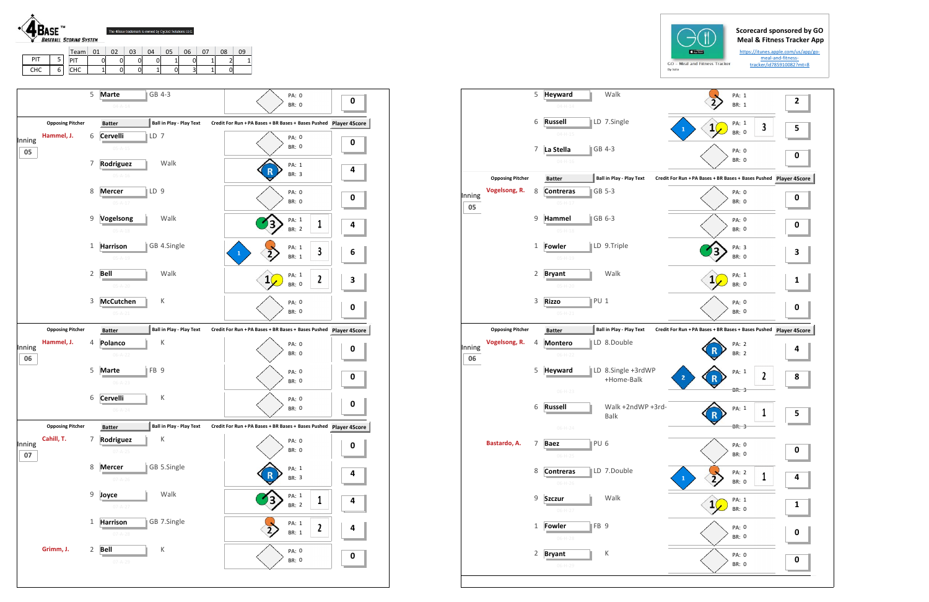

CHC 6

CHC | 1 | 0 | 0 | 1 | 0 | 3 | 1 | 0

| <b>Opposing Pitcher</b><br>Hammel, J. |                         | $04 - A - 14$                    |                                                                                                                                                   | <b>BR: 0</b>                                                                                                                                                                        |              | 0                                                                                                                                                                                                                                                                                                                                                                                                                                           |
|---------------------------------------|-------------------------|----------------------------------|---------------------------------------------------------------------------------------------------------------------------------------------------|-------------------------------------------------------------------------------------------------------------------------------------------------------------------------------------|--------------|---------------------------------------------------------------------------------------------------------------------------------------------------------------------------------------------------------------------------------------------------------------------------------------------------------------------------------------------------------------------------------------------------------------------------------------------|
|                                       |                         |                                  |                                                                                                                                                   |                                                                                                                                                                                     |              |                                                                                                                                                                                                                                                                                                                                                                                                                                             |
|                                       |                         | <b>Batter</b>                    | Ball in Play - Play Text                                                                                                                          | Credit For Run + PA Bases + BR Bases + Bases Pushed                                                                                                                                 |              | <b>Player 4Score</b>                                                                                                                                                                                                                                                                                                                                                                                                                        |
|                                       | 6                       | LD 7<br>Cervelli                 |                                                                                                                                                   | PA: 0                                                                                                                                                                               |              |                                                                                                                                                                                                                                                                                                                                                                                                                                             |
|                                       |                         | $05 - A - 15$                    |                                                                                                                                                   | <b>BR: 0</b>                                                                                                                                                                        |              | 0                                                                                                                                                                                                                                                                                                                                                                                                                                           |
|                                       | 7                       | Rodriguez                        | Walk                                                                                                                                              | PA: 1                                                                                                                                                                               |              |                                                                                                                                                                                                                                                                                                                                                                                                                                             |
|                                       |                         | $05 - A - 16$                    |                                                                                                                                                   | <b>BR: 3</b>                                                                                                                                                                        |              | 4                                                                                                                                                                                                                                                                                                                                                                                                                                           |
|                                       | 8                       | LD <sub>9</sub><br><b>Mercer</b> |                                                                                                                                                   | PA: 0                                                                                                                                                                               |              |                                                                                                                                                                                                                                                                                                                                                                                                                                             |
|                                       |                         | $05 - A - 17$                    |                                                                                                                                                   |                                                                                                                                                                                     |              | 0                                                                                                                                                                                                                                                                                                                                                                                                                                           |
|                                       | 9                       | Vogelsong                        |                                                                                                                                                   |                                                                                                                                                                                     |              | 4                                                                                                                                                                                                                                                                                                                                                                                                                                           |
|                                       |                         | $05 - A - 18$                    |                                                                                                                                                   |                                                                                                                                                                                     |              |                                                                                                                                                                                                                                                                                                                                                                                                                                             |
|                                       | 1                       | <b>Harrison</b>                  |                                                                                                                                                   |                                                                                                                                                                                     |              | 6                                                                                                                                                                                                                                                                                                                                                                                                                                           |
|                                       |                         | $05 - A - 19$                    |                                                                                                                                                   |                                                                                                                                                                                     |              |                                                                                                                                                                                                                                                                                                                                                                                                                                             |
|                                       | $\overline{2}$          | Bell                             |                                                                                                                                                   |                                                                                                                                                                                     |              | 3                                                                                                                                                                                                                                                                                                                                                                                                                                           |
|                                       |                         | $05 - A - 20$                    |                                                                                                                                                   |                                                                                                                                                                                     |              |                                                                                                                                                                                                                                                                                                                                                                                                                                             |
|                                       | 3                       | <b>McCutchen</b>                 |                                                                                                                                                   |                                                                                                                                                                                     |              | 0                                                                                                                                                                                                                                                                                                                                                                                                                                           |
|                                       |                         | $05 - A - 21$                    |                                                                                                                                                   |                                                                                                                                                                                     |              |                                                                                                                                                                                                                                                                                                                                                                                                                                             |
| <b>Opposing Pitcher</b>               |                         | <b>Batter</b>                    |                                                                                                                                                   |                                                                                                                                                                                     |              | <b>Player 4Score</b>                                                                                                                                                                                                                                                                                                                                                                                                                        |
| Hammel, J.                            | 4                       | Polanco                          |                                                                                                                                                   |                                                                                                                                                                                     |              | 0                                                                                                                                                                                                                                                                                                                                                                                                                                           |
|                                       |                         | $06 - A - 22$                    |                                                                                                                                                   |                                                                                                                                                                                     |              |                                                                                                                                                                                                                                                                                                                                                                                                                                             |
|                                       | 5                       | <b>Marte</b>                     |                                                                                                                                                   |                                                                                                                                                                                     |              | 0                                                                                                                                                                                                                                                                                                                                                                                                                                           |
|                                       |                         |                                  |                                                                                                                                                   |                                                                                                                                                                                     |              |                                                                                                                                                                                                                                                                                                                                                                                                                                             |
|                                       | 6                       | <b>Cervelli</b>                  |                                                                                                                                                   |                                                                                                                                                                                     |              | 0                                                                                                                                                                                                                                                                                                                                                                                                                                           |
|                                       |                         | $06 - A - 24$                    |                                                                                                                                                   |                                                                                                                                                                                     |              |                                                                                                                                                                                                                                                                                                                                                                                                                                             |
| <b>Opposing Pitcher</b>               |                         | <b>Batter</b>                    |                                                                                                                                                   |                                                                                                                                                                                     |              |                                                                                                                                                                                                                                                                                                                                                                                                                                             |
|                                       | 7                       |                                  |                                                                                                                                                   |                                                                                                                                                                                     |              | 0                                                                                                                                                                                                                                                                                                                                                                                                                                           |
|                                       |                         |                                  |                                                                                                                                                   |                                                                                                                                                                                     |              |                                                                                                                                                                                                                                                                                                                                                                                                                                             |
|                                       | 8                       | <b>Mercer</b>                    |                                                                                                                                                   |                                                                                                                                                                                     |              | 4                                                                                                                                                                                                                                                                                                                                                                                                                                           |
|                                       |                         |                                  |                                                                                                                                                   |                                                                                                                                                                                     |              |                                                                                                                                                                                                                                                                                                                                                                                                                                             |
|                                       |                         | Joyce                            |                                                                                                                                                   |                                                                                                                                                                                     | 1            | 4                                                                                                                                                                                                                                                                                                                                                                                                                                           |
|                                       |                         |                                  |                                                                                                                                                   |                                                                                                                                                                                     |              |                                                                                                                                                                                                                                                                                                                                                                                                                                             |
|                                       | 1                       |                                  |                                                                                                                                                   |                                                                                                                                                                                     | $\mathbf{c}$ | 4                                                                                                                                                                                                                                                                                                                                                                                                                                           |
|                                       |                         |                                  |                                                                                                                                                   |                                                                                                                                                                                     |              |                                                                                                                                                                                                                                                                                                                                                                                                                                             |
|                                       |                         |                                  |                                                                                                                                                   |                                                                                                                                                                                     |              | 0                                                                                                                                                                                                                                                                                                                                                                                                                                           |
|                                       | Cahill, T.<br>Grimm, J. | 9<br>$\overline{2}$              | $06 - A - 23$<br>Rodriguez<br>$07 - A - 25$<br>$07 - A - 26$<br>$07 - A - 27$<br><b>Harrison</b><br>$07 - A - 28$<br><b>Bell</b><br>$07 - A - 29$ | Walk<br>GB 4.Single<br>Walk<br>К<br><b>Ball in Play - Play Text</b><br>К<br>FB <sub>9</sub><br>К<br><b>Ball in Play - Play Text</b><br>К<br>GB 5.Single<br>Walk<br>GB 7.Single<br>К | 1            | <b>BR: 0</b><br>PA: 1<br>1<br><b>BR: 2</b><br>PA: 1<br>3<br><b>BR: 1</b><br>PA: 1<br>$\mathbf{c}$<br><b>BR: 0</b><br>PA: 0<br><b>BR: 0</b><br>Credit For Run + PA Bases + BR Bases + Bases Pushed<br>PA: 0<br><b>BR: 0</b><br>PA: 0<br><b>BR: 0</b><br>PA: 0<br><b>BR: 0</b><br>Credit For Run + PA Bases + BR Bases + Bases Pushed Player 4Score<br>PA: 0<br>BR: 0<br>PA: 1<br>BR: 3<br>PA: 1<br>BR: 2<br>PA: 1<br>BR: 1<br>PA: 0<br>BR: 0 |



**05**

**06**

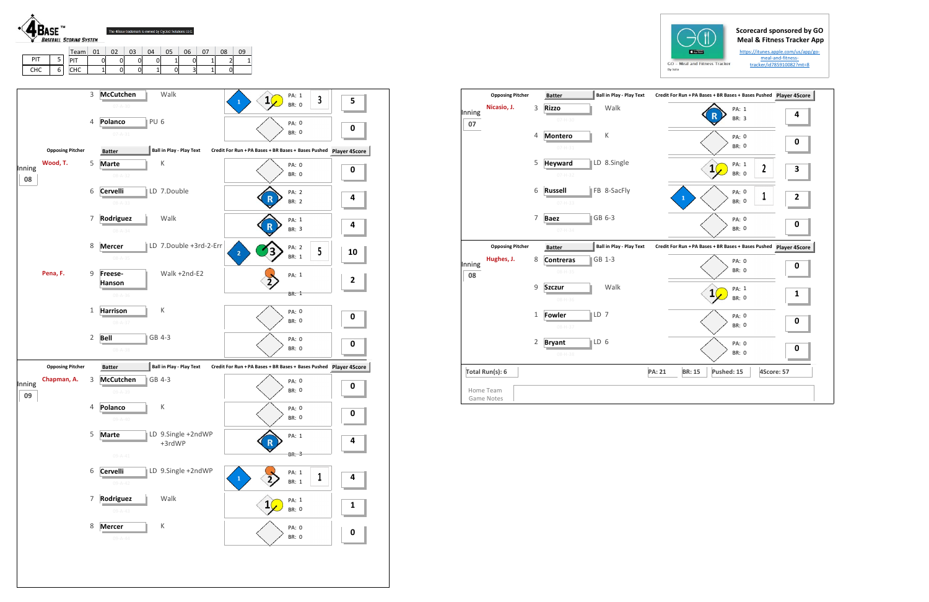## **Scorecard sponsored by GO Meal & Fitness Tracker App**

https://itunes.apple.com/us/app/go‐ meal‐and‐fitness‐ tracker/id785910082?mt=8





|              | <b>Opposing Pitcher</b> |                | <b>Batter</b>                   | <b>Ball in Play - Play Text</b> | Credit For Run + PA Bases + BR Bases + Bases Pushed Player 4S |   |
|--------------|-------------------------|----------------|---------------------------------|---------------------------------|---------------------------------------------------------------|---|
| Inning<br>07 | Nicasio, J.             | 3              | <b>Rizzo</b><br>$07 - H - 30$   | Walk                            | PA: 1<br><b>BR: 3</b>                                         | 4 |
|              |                         | $\overline{4}$ | <b>Montero</b><br>$07 - H - 31$ | К                               | PA: 0<br><b>BR: 0</b>                                         | 0 |
|              |                         | 5              | <b>Heyward</b><br>$07 - H - 32$ | LD 8.Single                     | PA: 1<br>$\mathbf{2}$<br>$\mathbf{1}$<br><b>BR: 0</b>         | 3 |
|              |                         | 6              | <b>Russell</b><br>$07 - H - 33$ | FB 8-SacFly                     | PA: 0<br>1<br>$\mathbf{1}$<br><b>BR: 0</b>                    | 2 |
|              |                         | $\overline{7}$ | <b>Baez</b><br>$07 - H - 34$    | GB 6-3                          | PA: 0<br><b>BR: 0</b>                                         | 0 |
|              | <b>Opposing Pitcher</b> |                | <b>Batter</b>                   | <b>Ball in Play - Play Text</b> | Credit For Run + PA Bases + BR Bases + Bases Pushed Player 4S |   |
| Inning<br>08 | Hughes, J.              | 8              | <b>Contreras</b><br>08-H-35     | GB 1-3                          | PA: 0<br><b>BR: 0</b>                                         | 0 |
|              |                         | 9              | <b>Szczur</b><br>$08 - H - 36$  | Walk                            | PA: 1<br>$\mathbf{1}$<br><b>BR: 0</b>                         | 1 |
|              |                         | $\mathbf{1}$   | <b>Fowler</b>                   | LD 7                            | PA: 0                                                         |   |
|              |                         |                | $08 - H - 37$                   |                                 | <b>BR: 0</b>                                                  | 0 |
|              |                         | $\overline{2}$ | <b>Bryant</b><br>$08 - H - 38$  | LD 6                            | PA: 0<br><b>BR: 0</b>                                         | 0 |
|              | Total Run(s): 6         |                |                                 |                                 | <b>PA: 21</b><br><b>BR: 15</b><br>Pushed: 15<br>4Score: 57    |   |